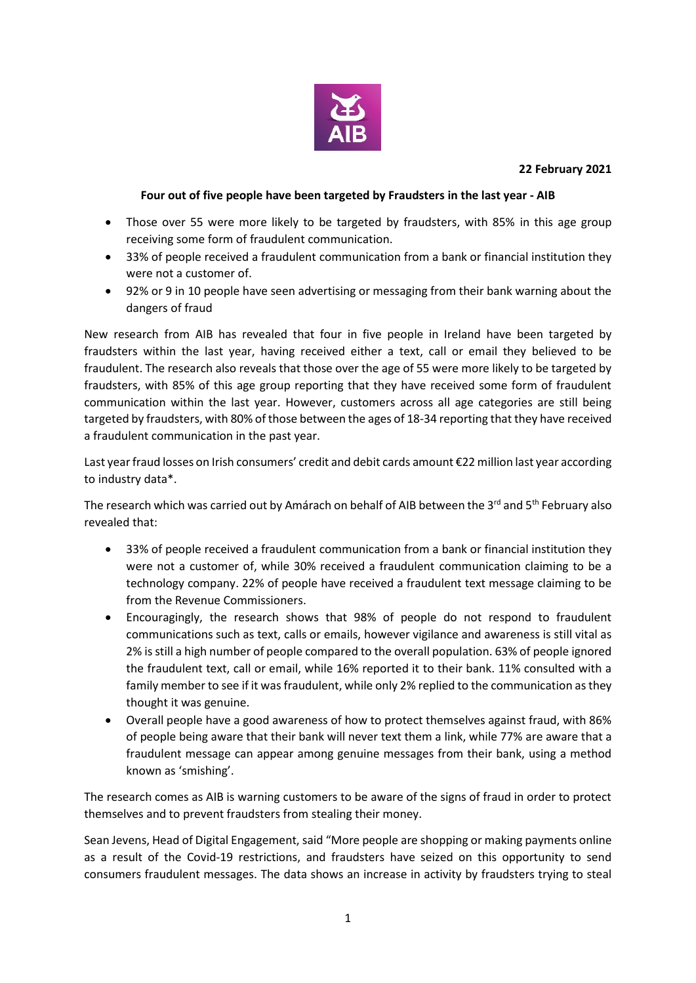

## **22 February 2021**

## **Four out of five people have been targeted by Fraudsters in the last year - AIB**

- Those over 55 were more likely to be targeted by fraudsters, with 85% in this age group receiving some form of fraudulent communication.
- 33% of people received a fraudulent communication from a bank or financial institution they were not a customer of.
- 92% or 9 in 10 people have seen advertising or messaging from their bank warning about the dangers of fraud

New research from AIB has revealed that four in five people in Ireland have been targeted by fraudsters within the last year, having received either a text, call or email they believed to be fraudulent. The research also reveals that those over the age of 55 were more likely to be targeted by fraudsters, with 85% of this age group reporting that they have received some form of fraudulent communication within the last year. However, customers across all age categories are still being targeted by fraudsters, with 80% of those between the ages of 18-34 reporting that they have received a fraudulent communication in the past year.

Last year fraud losses on Irish consumers' credit and debit cards amount €22 million last year according to industry data\*.

The research which was carried out by Amárach on behalf of AIB between the 3rd and 5<sup>th</sup> February also revealed that:

- 33% of people received a fraudulent communication from a bank or financial institution they were not a customer of, while 30% received a fraudulent communication claiming to be a technology company. 22% of people have received a fraudulent text message claiming to be from the Revenue Commissioners.
- Encouragingly, the research shows that 98% of people do not respond to fraudulent communications such as text, calls or emails, however vigilance and awareness is still vital as 2% is still a high number of people compared to the overall population. 63% of people ignored the fraudulent text, call or email, while 16% reported it to their bank. 11% consulted with a family member to see if it was fraudulent, while only 2% replied to the communication as they thought it was genuine.
- Overall people have a good awareness of how to protect themselves against fraud, with 86% of people being aware that their bank will never text them a link, while 77% are aware that a fraudulent message can appear among genuine messages from their bank, using a method known as 'smishing'.

The research comes as AIB is warning customers to be aware of the signs of fraud in order to protect themselves and to prevent fraudsters from stealing their money.

Sean Jevens, Head of Digital Engagement, said "More people are shopping or making payments online as a result of the Covid-19 restrictions, and fraudsters have seized on this opportunity to send consumers fraudulent messages. The data shows an increase in activity by fraudsters trying to steal